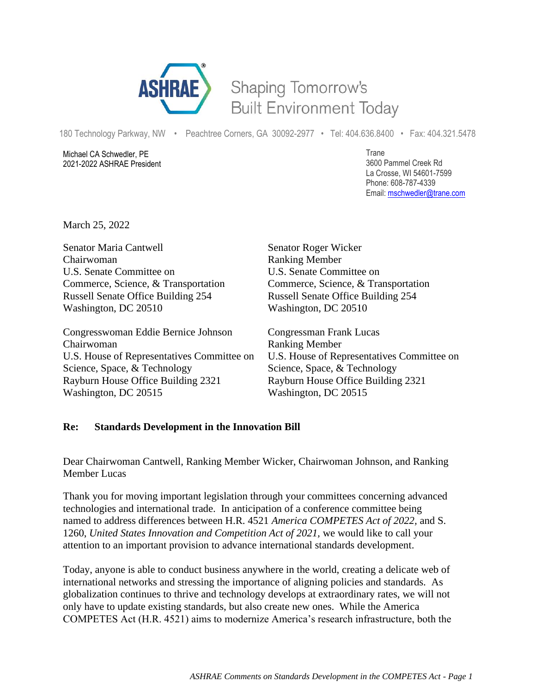

## Shaping Tomorrow's **Built Environment Today**

180 Technology Parkway, NW • Peachtree Corners, GA 30092-2977 • Tel: 404.636.8400 • Fax: 404.321.5478

Michael CA Schwedler, PE 2021-2022 ASHRAE President Trane 3600 Pammel Creek Rd La Crosse, WI 54601-7599 Phone: 608-787-4339 Email: [mschwedler@trane.com](about:blank)

March 25, 2022

Senator Maria Cantwell Senator Roger Wicker Chairwoman Ranking Member U.S. Senate Committee on U.S. Senate Committee on Commerce, Science, & Transportation Commerce, Science, & Transportation Russell Senate Office Building 254 Russell Senate Office Building 254 Washington, DC 20510 Washington, DC 20510

Congresswoman Eddie Bernice Johnson Congressman Frank Lucas Chairwoman Ranking Member Science, Space, & Technology Science, Space, & Technology Rayburn House Office Building 2321 Rayburn House Office Building 2321 Washington, DC 20515 Washington, DC 20515

U.S. House of Representatives Committee on U.S. House of Representatives Committee on

## **Re: Standards Development in the Innovation Bill**

Dear Chairwoman Cantwell, Ranking Member Wicker, Chairwoman Johnson, and Ranking Member Lucas

Thank you for moving important legislation through your committees concerning advanced technologies and international trade. In anticipation of a conference committee being named to address differences between H.R. 4521 *America COMPETES Act of 2022,* and S. 1260, *United States Innovation and Competition Act of 2021,* we would like to call your attention to an important provision to advance international standards development.

Today, anyone is able to conduct business anywhere in the world, creating a delicate web of international networks and stressing the importance of aligning policies and standards. As globalization continues to thrive and technology develops at extraordinary rates, we will not only have to update existing standards, but also create new ones. While the America COMPETES Act (H.R. 4521) aims to modernize America's research infrastructure, both the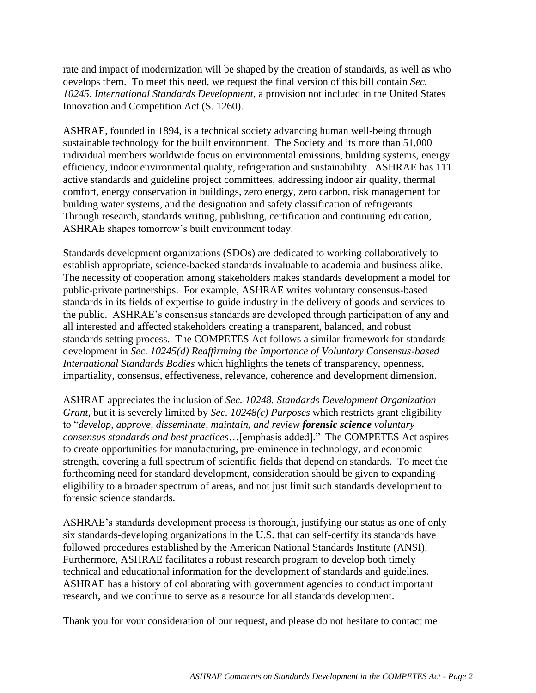rate and impact of modernization will be shaped by the creation of standards, as well as who develops them. To meet this need, we request the final version of this bill contain *Sec. 10245. International Standards Development*, a provision not included in the United States Innovation and Competition Act (S. 1260).

ASHRAE, founded in 1894, is a technical society advancing human well-being through sustainable technology for the built environment. The Society and its more than 51,000 individual members worldwide focus on environmental emissions, building systems, energy efficiency, indoor environmental quality, refrigeration and sustainability. ASHRAE has 111 active standards and guideline project committees, addressing indoor air quality, thermal comfort, energy conservation in buildings, zero energy, zero carbon, risk management for building water systems, and the designation and safety classification of refrigerants. Through research, standards writing, publishing, certification and continuing education, ASHRAE shapes tomorrow's built environment today.

Standards development organizations (SDOs) are dedicated to working collaboratively to establish appropriate, science-backed standards invaluable to academia and business alike. The necessity of cooperation among stakeholders makes standards development a model for public-private partnerships. For example, ASHRAE writes voluntary consensus-based standards in its fields of expertise to guide industry in the delivery of goods and services to the public. ASHRAE's consensus standards are developed through participation of any and all interested and affected stakeholders creating a transparent, balanced, and robust standards setting process. The COMPETES Act follows a similar framework for standards development in *Sec. 10245(d) Reaffirming the Importance of Voluntary Consensus-based International Standards Bodies* which highlights the tenets of transparency, openness, impartiality, consensus, effectiveness, relevance, coherence and development dimension.

ASHRAE appreciates the inclusion of *Sec. 10248. Standards Development Organization Grant*, but it is severely limited by *Sec. 10248(c) Purposes* which restricts grant eligibility to "*develop, approve, disseminate, maintain, and review forensic science voluntary consensus standards and best practices*…[emphasis added]." The COMPETES Act aspires to create opportunities for manufacturing, pre-eminence in technology, and economic strength, covering a full spectrum of scientific fields that depend on standards. To meet the forthcoming need for standard development, consideration should be given to expanding eligibility to a broader spectrum of areas, and not just limit such standards development to forensic science standards.

ASHRAE's standards development process is thorough, justifying our status as one of only six standards-developing organizations in the U.S. that can self-certify its standards have followed procedures established by the American National Standards Institute (ANSI). Furthermore, ASHRAE facilitates a robust research program to develop both timely technical and educational information for the development of standards and guidelines. ASHRAE has a history of collaborating with government agencies to conduct important research, and we continue to serve as a resource for all standards development.

Thank you for your consideration of our request, and please do not hesitate to contact me